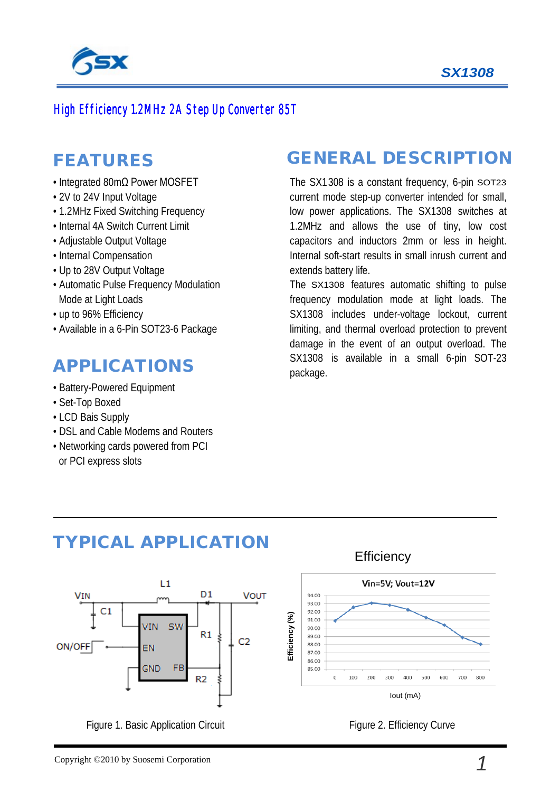

 $\mathcal{S}_{\mathcal{S}}$ 

#### High Efficiency 1.2MHz 2A Step Up Converter 85T

### FEATURES

- Integrated 80mΩ Power MOSFET
- 2V to 24V Input Voltage
- 1.2MHz Fixed Switching Frequency
- Internal 4A Switch Current Limit
- Adjustable Output Voltage
- Internal Compensation
- Up to 28V Output Voltage
- Automatic Pulse Frequency Modulation Mode at Light Loads
- up to 96% Efficiency
- Available in a 6-Pin SOT23-6 Package

## APPLICATIONS

- Battery-Powered Equipment
- Set-Top Boxed
- LCD Bais Supply
- DSL and Cable Modems and Routers
- Networking cards powered from PCI or PCI express slots

## GENERAL DESCRIPTION

The SX1308 is a constant frequency, 6-pin SOT23 current mode step-up converter intended for small, low power applications. The SX1308 switches at 1.2MHz and allows the use of tiny, low cost capacitors and inductors 2mm or less in height. Internal soft-start results in small inrush current and extends battery life.

The SX1308 features automatic shifting to pulse frequency modulation mode at light loads. The SX1308 includes under-voltage lockout, current limiting, and thermal overload protection to prevent damage in the event of an output overload. The SX1308 is available in a small 6-pin SOT-23 package.



Figure 1. Basic Application Circuit

TYPICAL APPLICATION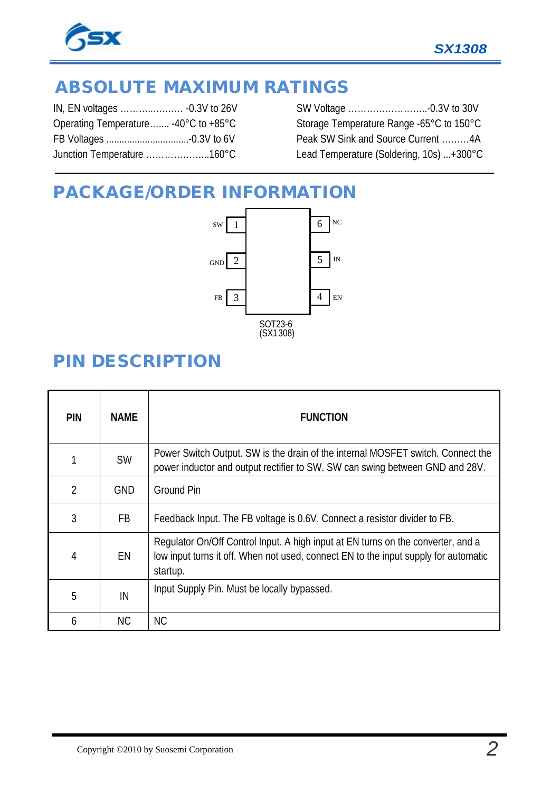

# ABSOLUTE MAXIMUM RATINGS

| Operating Temperature -40°C to +85°C |
|--------------------------------------|
|                                      |
| Junction Temperature 160°C           |
|                                      |

SW Voltage ……………………..-0.3V to 30V Storage Temperature Range -65°C to 150°C Peak SW Sink and Source Current ………4A Lead Temperature (Soldering, 10s) ...+300°C

## PACKAGE/ORDER INFORMATION



## PIN DESCRIPTION

| <b>PIN</b>     | <b>NAME</b> | <b>FUNCTION</b>                                                                                                                                                                     |
|----------------|-------------|-------------------------------------------------------------------------------------------------------------------------------------------------------------------------------------|
|                | <b>SW</b>   | Power Switch Output. SW is the drain of the internal MOSFET switch. Connect the<br>power inductor and output rectifier to SW. SW can swing between GND and 28V.                     |
| $\overline{2}$ | <b>GND</b>  | <b>Ground Pin</b>                                                                                                                                                                   |
| 3              | <b>FB</b>   | Feedback Input. The FB voltage is 0.6V. Connect a resistor divider to FB.                                                                                                           |
| 4              | EN          | Regulator On/Off Control Input. A high input at EN turns on the converter, and a<br>low input turns it off. When not used, connect EN to the input supply for automatic<br>startup. |
| 5              | IN          | Input Supply Pin. Must be locally bypassed.                                                                                                                                         |
| 6              | <b>NC</b>   | <b>NC</b>                                                                                                                                                                           |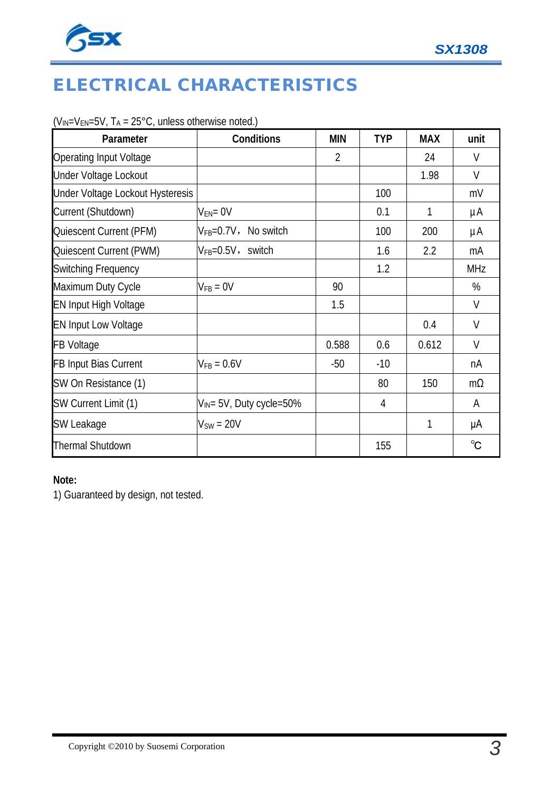

# ELECTRICAL CHARACTERISTICS

|  | $(V_{IN} = V_{EN} = 5V$ , $T_A = 25^{\circ}C$ , unless otherwise noted.) |
|--|--------------------------------------------------------------------------|
|--|--------------------------------------------------------------------------|

| Parameter                        | Conditions                    | <b>MIN</b>     | <b>TYP</b> | <b>MAX</b> | unit         |
|----------------------------------|-------------------------------|----------------|------------|------------|--------------|
| <b>Operating Input Voltage</b>   |                               | $\overline{2}$ |            | 24         | $\vee$       |
| Under Voltage Lockout            |                               |                |            | 1.98       | V            |
| Under Voltage Lockout Hysteresis |                               |                | 100        |            | mV           |
| Current (Shutdown)               | $V_{EN} = 0V$                 |                | 0.1        | 1          | μA           |
| Quiescent Current (PFM)          | $V_{FB} = 0.7V$ , No switch   |                | 100        | 200        | μA           |
| Quiescent Current (PWM)          | $V_{FB} = 0.5V$ , switch      |                | 1.6        | 2.2        | mA           |
| <b>Switching Frequency</b>       |                               |                | 1.2        |            | <b>MHz</b>   |
| Maximum Duty Cycle               | $V_{FB} = 0V$                 | 90             |            |            | %            |
| <b>EN Input High Voltage</b>     |                               | 1.5            |            |            | V            |
| <b>EN Input Low Voltage</b>      |                               |                |            | 0.4        | V            |
| <b>FB Voltage</b>                |                               | 0.588          | 0.6        | 0.612      | $\vee$       |
| FB Input Bias Current            | $V_{FB} = 0.6V$               | $-50$          | $-10$      |            | nA           |
| SW On Resistance (1)             |                               |                | 80         | 150        | $m\Omega$    |
| SW Current Limit (1)             | $V_{IN}$ = 5V, Duty cycle=50% |                | 4          |            | A            |
| SW Leakage                       | $V_{SW} = 20V$                |                |            | 1          | μA           |
| <b>Thermal Shutdown</b>          |                               |                | 155        |            | $^{\circ}$ C |

#### **Note:**

1) Guaranteed by design, not tested.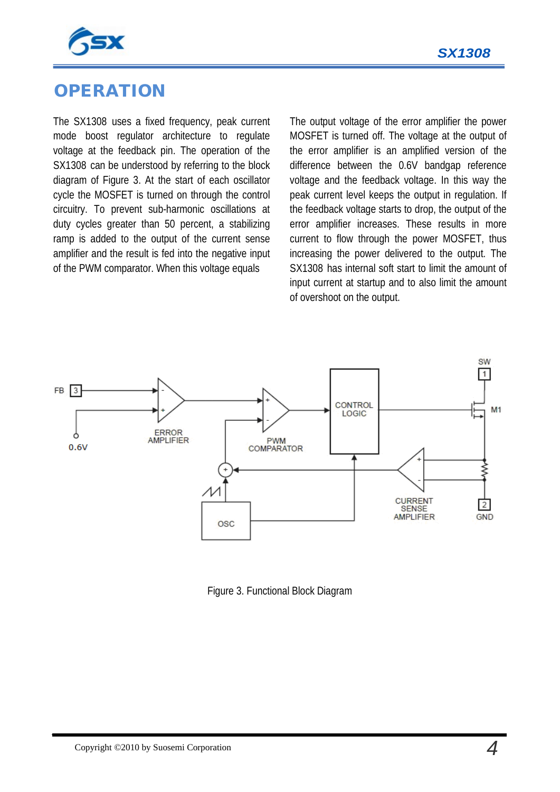



### **OPERATION**

The SX1308 uses a fixed frequency, peak current mode boost regulator architecture to regulate voltage at the feedback pin. The operation of the SX1308 can be understood by referring to the block diagram of Figure 3. At the start of each oscillator cycle the MOSFET is turned on through the control circuitry. To prevent sub-harmonic oscillations at duty cycles greater than 50 percent, a stabilizing ramp is added to the output of the current sense amplifier and the result is fed into the negative input of the PWM comparator. When this voltage equals

The output voltage of the error amplifier the power MOSFET is turned off. The voltage at the output of the error amplifier is an amplified version of the difference between the 0.6V bandgap reference voltage and the feedback voltage. In this way the peak current level keeps the output in regulation. If the feedback voltage starts to drop, the output of the error amplifier increases. These results in more current to flow through the power MOSFET, thus increasing the power delivered to the output. The SX1308 has internal soft start to limit the amount of input current at startup and to also limit the amount of overshoot on the output.



Figure 3. Functional Block Diagram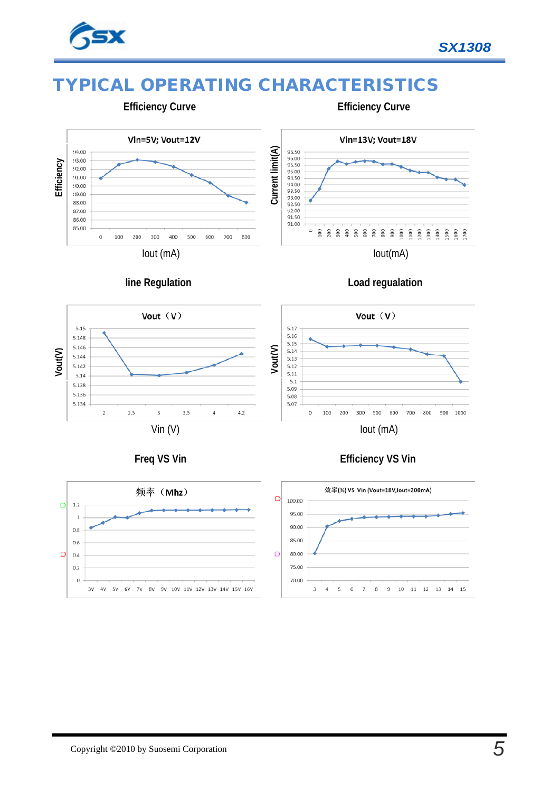

**Efficiency** 

92.00  $91.00$ 90.00 89.00

88.00

87.00 86.00

85.00

 $\overline{0}$ 

100 200 300

## TYPICAL OPERATING CHARACTERISTICS



Vin=13V; Vout=18V 95.50<br>95.00<br>95.50<br>95.00<br>94.50<br>94.00<br>93.50 Current limit(A) **Vout(V) Current limit(A)** 93.00<br>92.50  $92.00$ <br>91.50 91.00  $\circ$ 800 Iout(mA)

 **Efficiency Curve**

 **line Regulation**

Iout (mA)

400

500 600 700



Vout  $(V)$ 

 $5.17$ 5.16

5.15

5.14

5.13

5.12 5.11

 $5.1$ 

5.09

 $5.08$ 

5.07

 $\theta$ 100 200



 **Freq VS Vin**





800

900 1000

Iout (mA)

#### **Efficiency VS Vin**

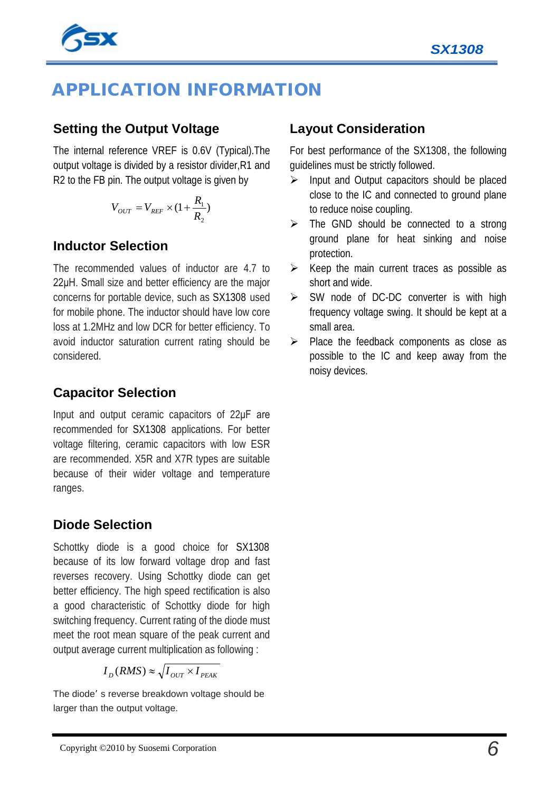

# APPLICATION INFORMATION

#### **Setting the Output Voltage**

The internal reference VREF is 0.6V (Typical).The output voltage is divided by a resistor divider,R1 and R2 to the FB pin. The output voltage is given by

$$
V_{OUT} = V_{REF} \times (1 + \frac{R_1}{R_2})
$$

#### **Inductor Selection**

The recommended values of inductor are 4.7 to 22μH. Small size and better efficiency are the major concerns for portable device, such as SX1308 used for mobile phone. The inductor should have low core loss at 1.2MHz and low DCR for better efficiency. To avoid inductor saturation current rating should be considered.

#### **Capacitor Selection**

Input and output ceramic capacitors of 22μF are recommended for SX1308 applications. For better voltage filtering, ceramic capacitors with low ESR are recommended. X5R and X7R types are suitable because of their wider voltage and temperature ranges.

#### **Diode Selection**

Schottky diode is a good choice for SX1308 because of its low forward voltage drop and fast reverses recovery. Using Schottky diode can get better efficiency. The high speed rectification is also a good characteristic of Schottky diode for high switching frequency. Current rating of the diode must meet the root mean square of the peak current and output average current multiplication as following :

$$
I_D(RMS) \approx \sqrt{I_{OUT} \times I_{PEAK}}
$$

The diode' s reverse breakdown voltage should be larger than the output voltage.

#### **Layout Consideration**

For best performance of the SX1308, the following guidelines must be strictly followed.

- $\triangleright$  Input and Output capacitors should be placed close to the IC and connected to ground plane to reduce noise coupling.
- $\triangleright$  The GND should be connected to a strong ground plane for heat sinking and noise protection.
- $\triangleright$  Keep the main current traces as possible as short and wide.
- $\triangleright$  SW node of DC-DC converter is with high frequency voltage swing. It should be kept at a small area.
- $\triangleright$  Place the feedback components as close as possible to the IC and keep away from the noisy devices.